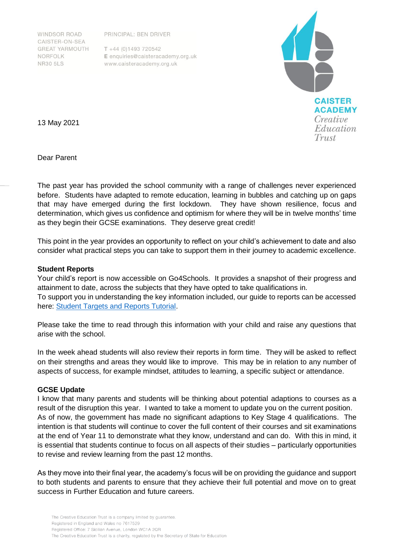WINDSOR ROAD CAISTER-ON-SEA **GREAT YARMOUTH** NORFOLK **NR30 5LS** 

PRINCIPAL: BEN DRIVER

 $T + 44 (0)1493 720542$ E enquiries@caisteracademy.org.uk www.caisteracademy.org.uk



13 May 2021

Dear Parent

The past year has provided the school community with a range of challenges never experienced before. Students have adapted to remote education, learning in bubbles and catching up on gaps that may have emerged during the first lockdown. They have shown resilience, focus and determination, which gives us confidence and optimism for where they will be in twelve months' time as they begin their GCSE examinations. They deserve great credit!

This point in the year provides an opportunity to reflect on your child's achievement to date and also consider what practical steps you can take to support them in their journey to academic excellence.

## **Student Reports**

Your child's report is now accessible on Go4Schools. It provides a snapshot of their progress and attainment to date, across the subjects that they have opted to take qualifications in. To support you in understanding the key information included, our guide to reports can be accessed here: [Student Targets and Reports Tutorial.](https://www.caisteracademy.org.uk/wp-content/uploads/2020/11/Target-Grade-and-Report-Tutorial.mp4)

Please take the time to read through this information with your child and raise any questions that arise with the school.

In the week ahead students will also review their reports in form time. They will be asked to reflect on their strengths and areas they would like to improve. This may be in relation to any number of aspects of success, for example mindset, attitudes to learning, a specific subject or attendance.

## **GCSE Update**

I know that many parents and students will be thinking about potential adaptions to courses as a result of the disruption this year. I wanted to take a moment to update you on the current position. As of now, the government has made no significant adaptions to Key Stage 4 qualifications. The intention is that students will continue to cover the full content of their courses and sit examinations at the end of Year 11 to demonstrate what they know, understand and can do. With this in mind, it is essential that students continue to focus on all aspects of their studies – particularly opportunities to revise and review learning from the past 12 months.

As they move into their final year, the academy's focus will be on providing the guidance and support to both students and parents to ensure that they achieve their full potential and move on to great success in Further Education and future careers.